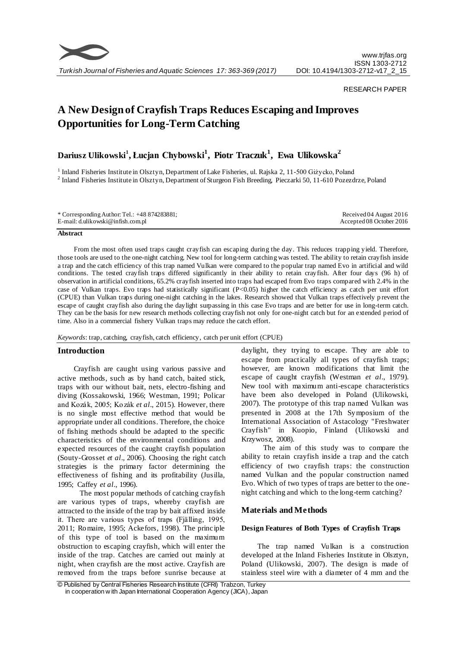

### RESEARCH PAPER

# **A New Design of Crayfish Traps Reduces Escaping and Improves Opportunities for Long-Term Catching**

## **Dariusz Ulikowski<sup>1</sup> , Łucjan Chybowski<sup>1</sup> , Piotr Traczuk<sup>1</sup> , Ewa Ulikowska<sup>2</sup>**

<sup>1</sup> Inland Fisheries Institute in Olsztyn, Department of Lake Fisheries, ul. Rajska 2, 11-500 Giżycko, Poland <sup>2</sup> Inland Fisheries Institute in Olsztyn, Department of Sturgeon Fish Breeding, Pieczarki 50, 11-610 Pozezdrze, Poland

| * Corresponding Author: Tel.: $+48874283881$ ; | Received 04 August $2016$ |
|------------------------------------------------|---------------------------|
| E-mail: d.ulikowski@infish.com.pl              | Accepted 08 October 2016  |

#### **Abstract**

From the most often used traps caught crayfish can escaping during the day. This reduces trapping yield. Therefore, those tools are used to the one-night catching. New tool for long-term catching was tested. The ability to retain crayfish inside a trap and the catch efficiency of this trap named Vulkan were compared to the popular trap named Evo in artificial and wild conditions. The tested crayfish traps differed significantly in their ability to retain crayfish. After four days (96 h) of observation in artificial conditions, 65.2% crayfish inserted into traps had escaped from Evo traps compared with 2.4% in the case of Vulkan traps. Evo traps had statistically significant  $(P<0.05)$  higher the catch efficiency as catch per unit effort (CPUE) than Vulkan traps during one-night catching in the lakes. Research showed that Vulkan traps effectively p revent the escape of caught crayfish also during the daylight surpassing in this case Evo traps and are better for use in long-term catch. They can be the basis for new research methods collecting crayfish not only for one-night catch but for an extended period of time. Also in a commercial fishery Vulkan traps may reduce the catch effort.

*Keywords*: trap, catching, crayfish, catch efficiency, catch per unit effort (CPUE)

## **Introduction**

Crayfish are caught using various passive and active methods, such as by hand catch, baited stick, traps with our without bait, nets, electro-fishing and diving (Kossakowski, 1966; Westman, 1991; Policar and Kozák, 2005; Kozák *et al*., 2015). However, there is no single most effective method that would be appropriate under all conditions. Therefore, the choice of fishing methods should be adapted to the specific characteristics of the environmental conditions and expected resources of the caught crayfish population (Souty-Grosset *et al*., 2006). Choosing the right catch strategies is the primary factor determining the effectiveness of fishing and its profitability (Jusilla, 1995; Caffey *et al*., 1996).

The most popular methods of catching crayfish are various types of traps, whereby crayfish are attracted to the inside of the trap by bait affixed inside it. There are various types of traps (Fjälling, 1995, 2011; Romaire, 1995; Ackefors, 1998). The principle of this type of tool is based on the maximum obstruction to escaping crayfish, which will enter the inside of the trap. Catches are carried out mainly at night, when crayfish are the most active. Crayfish are removed from the traps before sunrise because at daylight, they trying to escape. They are able to escape from practically all types of crayfish traps; however, are known modifications that limit the escape of caught crayfish (Westman *et al*., 1979). New tool with maximum anti-escape characteristics have been also developed in Poland (Ulikowski, 2007). The prototype of this trap named Vulkan was presented in 2008 at the 17th Symposium of the International Association of Astacology "Freshwater Crayfish" in Kuopio, Finland (Ulikowski and Krzywosz, 2008).

The aim of this study was to compare the ability to retain crayfish inside a trap and the catch efficiency of two crayfish traps: the construction named Vulkan and the popular construction named Evo. Which of two types of traps are better to the onenight catching and which to the long-term catching?

## **Materials and Methods**

## **Design Features of Both Types of Crayfish Traps**

The trap named Vulkan is a construction developed at the Inland Fisheries Institute in Olsztyn, Poland (Ulikowski, 2007). The design is made of stainless steel wire with a diameter of 4 mm and the

<sup>©</sup> Published by Central Fisheries Research Institute (CFRI) Trabzon, Turkey in cooperation w ith Japan International Cooperation Agency (JICA), Japan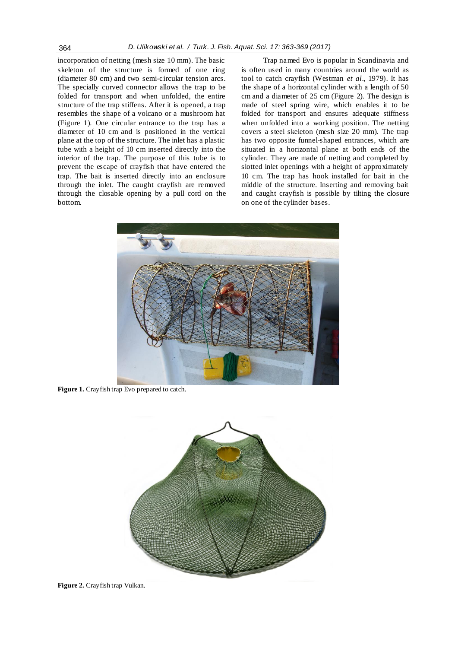incorporation of netting (mesh size 10 mm). The basic skeleton of the structure is formed of one ring (diameter 80 cm) and two semi-circular tension arcs. The specially curved connector allows the trap to be folded for transport and when unfolded, the entire structure of the trap stiffens. After it is opened, a trap resembles the shape of a volcano or a mushroom hat (Figure 1). One circular entrance to the trap has a diameter of 10 cm and is positioned in the vertical plane at the top of the structure. The inlet has a plastic tube with a height of 10 cm inserted directly into the interior of the trap. The purpose of this tube is to prevent the escape of crayfish that have entered the trap. The bait is inserted directly into an enclosure through the inlet. The caught crayfish are removed through the closable opening by a pull cord on the bottom.

Trap named Evo is popular in Scandinavia and is often used in many countries around the world as tool to catch crayfish (Westman *et al*., 1979). It has the shape of a horizontal cylinder with a length of 50 cm and a diameter of 25 cm (Figure 2). The design is made of steel spring wire, which enables it to be folded for transport and ensures adequate stiffness when unfolded into a working position. The netting covers a steel skeleton (mesh size 20 mm). The trap has two opposite funnel-shaped entrances, which are situated in a horizontal plane at both ends of the cylinder. They are made of netting and completed by slotted inlet openings with a height of approximately 10 cm. The trap has hook installed for bait in the middle of the structure. Inserting and removing bait and caught crayfish is possible by tilting the closure on one of the cylinder bases.



**Figure 1.** Crayfish trap Evo prepared to catch.



**Figure 2.** Crayfish trap Vulkan.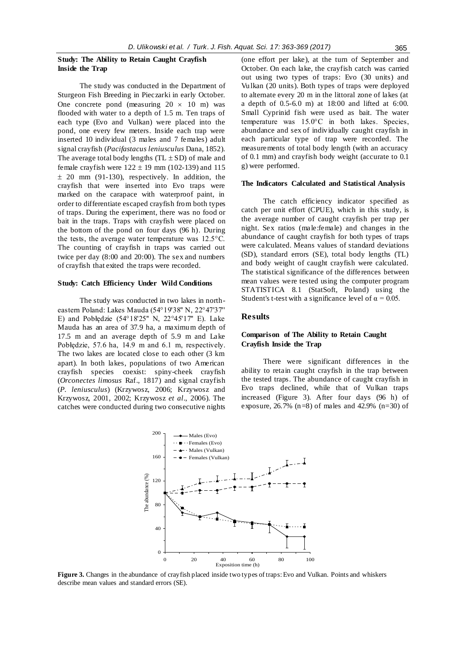## **Study: The Ability to Retain Caught Crayfish Inside the Trap**

The study was conducted in the Department of Sturgeon Fish Breeding in Pieczarki in early October. One concrete pond (measuring  $20 \times 10$  m) was flooded with water to a depth of 1.5 m. Ten traps of each type (Evo and Vulkan) were placed into the pond, one every few meters. Inside each trap were inserted 10 individual (3 males and 7 females) adult signal crayfish (*Pacifastacus leniusculus* Dana, 1852). The average total body lengths  $(TL \pm SD)$  of male and female crayfish were  $122 \pm 19$  mm (102-139) and 115  $\pm$  20 mm (91-130), respectively. In addition, the crayfish that were inserted into Evo traps were marked on the carapace with waterproof paint, in order to differentiate escaped crayfish from both types of traps. During the experiment, there was no food or bait in the traps. Traps with crayfish were placed on the bottom of the pond on four days (96 h). During the tests, the average water temperature was 12.5°C. The counting of crayfish in traps was carried out twice per day (8:00 and 20:00). The sex and numbers of crayfish that exited the traps were recorded.

## **Study: Catch Efficiency Under Wild Conditions**

The study was conducted in two lakes in northeastern Poland: Lakes Mauda (54°19'38'' N, 22°47'37'' E) and Pobłędzie (54°18'25'' N, 22°45'17'' E). Lake Mauda has an area of 37.9 ha, a maximum depth of 17.5 m and an average depth of 5.9 m and Lake Pobłędzie, 57.6 ha, 14.9 m and 6.1 m, respectively. The two lakes are located close to each other (3 km apart). In both lakes, populations of two American crayfish species coexist: spiny-cheek crayfish (*Orconectes limosus* Raf., 1817) and signal crayfish (*P. leniusculus*) (Krzywosz, 2006; Krzywosz and Krzywosz, 2001, 2002; Krzywosz *et al*., 2006). The catches were conducted during two consecutive nights (one effort per lake), at the turn of September and October. On each lake, the crayfish catch was carried out using two types of traps: Evo (30 units) and Vulkan (20 units). Both types of traps were deployed to alternate every 20 m in the littoral zone of lakes (at a depth of 0.5-6.0 m) at 18:00 and lifted at 6:00. Small Cyprinid fish were used as bait. The water temperature was 15.0°C in both lakes. Species, abundance and sex of individually caught crayfish in each particular type of trap were recorded. The measurements of total body length (with an accuracy of 0.1 mm) and crayfish body weight (accurate to 0.1 g) were performed.

#### **The Indicators Calculated and Statistical Analysis**

The catch efficiency indicator specified as catch per unit effort (CPUE), which in this study, is the average number of caught crayfish per trap per night. Sex ratios (ma le:female) and changes in the abundance of caught crayfish for both types of traps were calculated. Means values of standard deviations (SD), standard errors (SE), total body lengths (TL) and body weight of caught crayfish were calculated. The statistical significance of the differences between mean values were tested using the computer program STATISTICA 8.1 (StatSoft, Poland) using the Student's t-test with a significance level of  $\alpha = 0.05$ .

## **Results**

## **Comparison of The Ability to Retain Caught Crayfish Inside the Trap**

There were significant differences in the ability to retain caught crayfish in the trap between the tested traps. The abundance of caught crayfish in Evo traps declined, while that of Vulkan traps increased (Figure 3). After four days (96 h) of exposure, 26.7% (n=8) of males and 42.9% (n=30) of



**Figure 3.** Changes in the abundance of crayfish placed inside two types of traps: Evo and Vulkan. Points and whiskers describe mean values and standard errors (SE).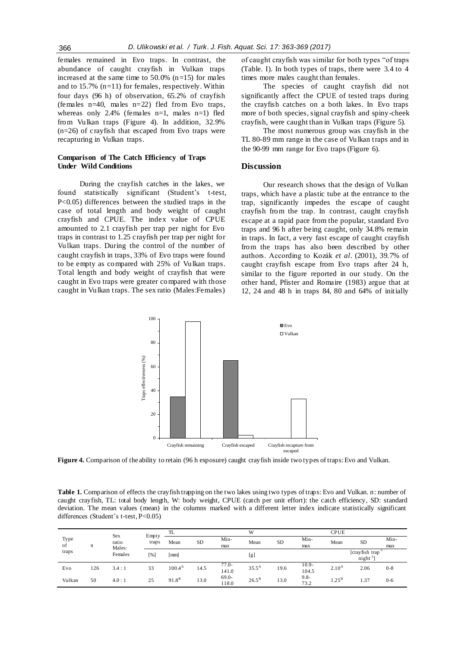females remained in Evo traps. In contrast, the abundance of caught crayfish in Vulkan traps increased at the same time to  $50.0\%$  (n=15) for males and to 15.7%  $(n=11)$  for females, respectively. Within four days (96 h) of observation, 65.2% of crayfish (females n=40, males n=22) fled from Evo traps, whereas only 2.4% (females n=1, males n=1) fled from Vulkan traps (Figure 4). In addition, 32.9% (n=26) of crayfish that escaped from Evo traps were recapturing in Vulkan traps.

## **Comparison of The Catch Efficiency of Traps Under Wild Conditions**

During the crayfish catches in the lakes, we found statistically significant (Student's t-test, P<0.05) differences between the studied traps in the case of total length and body weight of caught crayfish and CPUE. The index value of CPUE amounted to 2.1 crayfish per trap per night for Evo traps in contrast to 1.25 crayfish per trap per night for Vulkan traps. During the control of the number of caught crayfish in traps, 33% of Evo traps were found to be empty as compared with 25% of Vulkan traps. Total length and body weight of crayfish that were caught in Evo traps were greater compared with those caught in Vulkan traps. The sex ratio (Males:Females)

of caught crayfish was similar for both types "of traps (Table. I). In both types of traps, there were 3.4 to 4 times more males caught than females.

The species of caught crayfish did not significantly affect the CPUE of tested traps during the crayfish catches on a both lakes. In Evo traps more of both species, signal crayfish and spiny-cheek crayfish, were caught than in Vulkan traps (Figure 5).

The most numerous group was crayfish in the TL 80-89 mm range in the case of Vulkan traps and in the 90-99 mm range for Evo traps (Figure 6).

## **Discussion**

Our research shows that the design of Vulkan traps, which have a plastic tube at the entrance to the trap, significantly impedes the escape of caught crayfish from the trap. In contrast, caught crayfish escape at a rapid pace from the popular, standard Evo traps and 96 h after being caught, only 34.8% remain in traps. In fact, a very fast escape of caught crayfish from the traps has also been described by other authors. According to Kozák *et al*. (2001), 39.7% of caught crayfish escape from Evo traps after 24 h, similar to the figure reported in our study. On the other hand, Pfister and Romaire (1983) argue that at 12, 24 and 48 h in traps 84, 80 and 64% of initially



**Figure 4.** Comparison of the ability to retain (96 h exposure) caught crayfish inside two types of traps: Evo and Vulkan.

**Table 1.** Comparison of effects the crayfish trapping on the two lakes using two types of traps: Evo and Vulkan. n: number of caught crayfish, TL: total body length, W: body weight, CPUE (catch per unit effort): the catch efficiency, SD: standard deviation. The mean values (mean) in the columns marked with a different letter index indicate statistically significant differences (Student's t-test, P<0.05)

| Type<br>of<br>traps | n   | Sex<br>ratio<br>Males:<br>Females | Empty<br>traps | TL                |      |                  | W                   |      |                   | <b>CPUE</b>       |                                |         |
|---------------------|-----|-----------------------------------|----------------|-------------------|------|------------------|---------------------|------|-------------------|-------------------|--------------------------------|---------|
|                     |     |                                   |                | Mean              | SD   | Min-             | <b>SD</b><br>Mean   |      | Min-              | Mean              | <b>SD</b>                      | Min-    |
|                     |     |                                   |                |                   |      | max              |                     | max  |                   |                   | max                            |         |
|                     |     |                                   | [%]            | [mm]              |      |                  | [g]                 |      |                   |                   | [crayfish trap]<br>$night-1$ ] |         |
| Evo                 | 126 | 3.4:1                             | 33             | $100.4^{\rm A}$   | 14.5 | $77.0-$<br>141.0 | $35.5^{\rm A}$      | 19.6 | $10.9 -$<br>104.5 | 2.10 <sup>A</sup> | 2.06                           | $0 - 8$ |
| Vulkan              | 50  | 4.0:1                             | 25             | 91.8 <sup>B</sup> | 13.0 | 69.0-<br>118.0   | $26.5^{\mathrm{B}}$ | 13.0 | $9.8 -$<br>73.2   | $1.25^{\rm B}$    | 1.37                           | $0 - 6$ |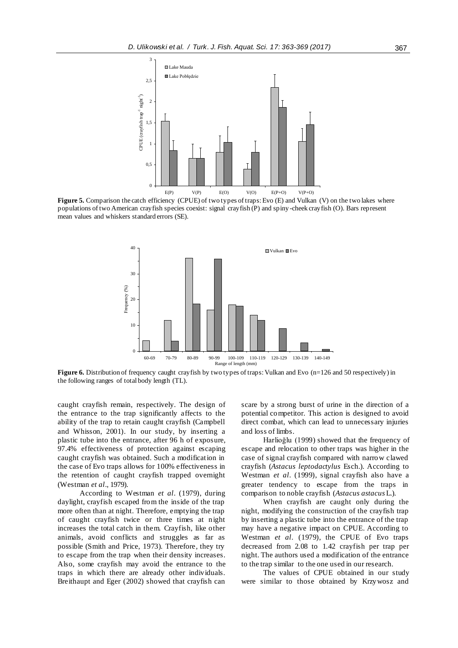

**Figure 5.** Comparison the catch efficiency (CPUE) of two types of traps: Evo (E) and Vulkan (V) on the two lakes where populations of two American crayfish species coexist: signal crayfish (P) and spiny -cheek crayfish (O). Bars represent mean values and whiskers standard errors (SE).



**Figure 6.** Distribution of frequency caught crayfish by two types of traps: Vulkan and Evo (n=126 and 50 respectively) in the following ranges of total body length (TL).

caught crayfish remain, respectively. The design of the entrance to the trap significantly affects to the ability of the trap to retain caught crayfish (Campbell and Whisson, 2001). In our study, by inserting a plastic tube into the entrance, after 96 h of exposure, 97.4% effectiveness of protection against escaping caught crayfish was obtained. Such a modification in the case of Evo traps allows for 100% effectiveness in the retention of caught crayfish trapped overnight (Westman *et al*., 1979).

According to Westman *et al*. (1979), during daylight, crayfish escaped from the inside of the trap more often than at night. Therefore, emptying the trap of caught crayfish twice or three times at night increases the total catch in them. Crayfish, like other animals, avoid conflicts and struggles as far as possible (Smith and Price, 1973). Therefore, they try to escape from the trap when their density increases. Also, some crayfish may avoid the entrance to the traps in which there are already other individuals. Breithaupt and Eger (2002) showed that crayfish can

scare by a strong burst of urine in the direction of a potential competitor. This action is designed to avoid direct combat, which can lead to unnecessary injuries and loss of limbs.

Harlioğlu (1999) showed that the frequency of escape and relocation to other traps was higher in the case of signal crayfish compared with narrow clawed crayfish (*Astacus leptodactylus* Esch.). According to Westman *et al*. (1999), signal crayfish also have a greater tendency to escape from the traps in comparison to noble crayfish (*Astacus astacus* L.).

When crayfish are caught only during the night, modifying the construction of the crayfish trap by inserting a plastic tube into the entrance of the trap may have a negative impact on CPUE. According to Westman *et al*. (1979), the CPUE of Evo traps decreased from 2.08 to 1.42 crayfish per trap per night. The authors used a modification of the entrance to the trap similar to the one used in our research.

The values of CPUE obtained in our study were similar to those obtained by Krzywosz and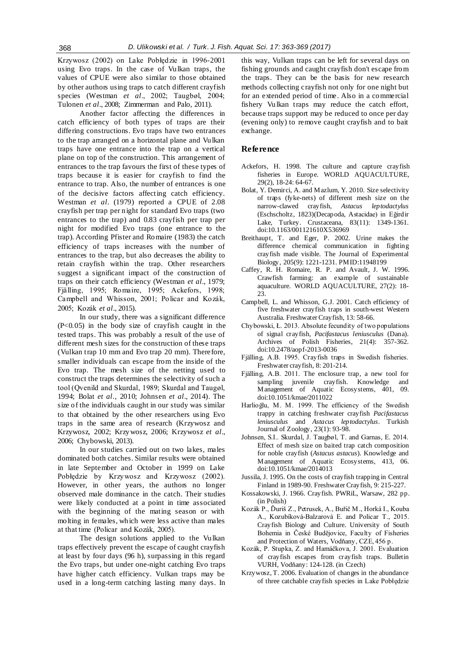Krzywosz (2002) on Lake Pobłędzie in 1996-2001 using Evo traps. In the case of Vulkan traps, the values of CPUE were also similar to those obtained by other authors using traps to catch different crayfish species (Westman *et al*., 2002; Taugbøl, 2004; Tulonen *et al*., 2008; Zimmerman and Palo, 2011).

Another factor affecting the differences in catch efficiency of both types of traps are their differing constructions. Evo traps have two entrances to the trap arranged on a horizontal plane and Vulkan traps have one entrance into the trap on a vertical plane on top of the construction. This arrangement of entrances to the trap favours the first of these types of traps because it is easier for crayfish to find the entrance to trap. Also, the number of entrances is one of the decisive factors affecting catch efficiency. Westman *et al*. (1979) reported a CPUE of 2.08 crayfish per trap per night for standard Evo traps (two entrances to the trap) and 0.83 crayfish per trap per night for modified Evo traps (one entrance to the trap). According Pfister and Romaire (1983) the catch efficiency of traps increases with the number of entrances to the trap, but also decreases the ability to retain crayfish within the trap. Other researchers suggest a significant impact of the construction of traps on their catch efficiency (Westman *et al*., 1979; Fjälling, 1995; Romaire, 1995; Ackefors, 1998; Campbell and Whisson, 2001; Policar and Kozák, 2005; Kozák *et al*., 2015).

In our study, there was a significant difference  $(P<0.05)$  in the body size of crayfish caught in the tested traps. This was probably a result of the use of different mesh sizes for the construction of these traps (Vulkan trap 10 mm and Evo trap 20 mm). Therefore, smaller individuals can escape from the inside of the Evo trap. The mesh size of the netting used to construct the traps determines the selectivity of such a tool (Qvenild and Skurdal, 1989; Skurdal and Taugøl, 1994; Bolat *et al*., 2010; Johnsen *et al*., 2014). The size of the individuals caught in our study was similar to that obtained by the other researchers using Evo traps in the same area of research (Krzywosz and Krzywosz, 2002; Krzywosz, 2006; Krzywosz *et al*., 2006; Chybowski, 2013).

In our studies carried out on two lakes, males dominated both catches. Similar results were obtained in late September and October in 1999 on Lake Pobłędzie by Krzywosz and Krzywosz (2002). However, in other years, the authors no longer observed male dominance in the catch. Their studies were likely conducted at a point in time associated with the beginning of the mating season or with molting in females, which were less active than males at that time (Policar and Kozák, 2005).

The design solutions applied to the Vulkan traps effectively prevent the escape of caught crayfish at least by four days (96 h), surpassing in this regard the Evo traps, but under one-night catching Evo traps have higher catch efficiency. Vulkan traps may be used in a long-term catching lasting many days. In this way, Vulkan traps can be left for several days on fishing grounds and caught crayfish don't escape from the traps. They can be the basis for new research methods collecting crayfish not only for one night but for an extended period of time. Also in a commercial fishery Vulkan traps may reduce the catch effort, because traps support may be reduced to once per day (evening only) to remove caught crayfish and to bait exchange.

## **Reference**

- Ackefors, H. 1998. The culture and capture crayfish fisheries in Europe. WORLD AQUACULTURE, 29(2), 18-24: 64-67.
- Bolat, Y. Demirci, A. and Mazlum, Y. 2010. Size selectivity of traps (fyke-nets) of different mesh size on the narrow-clawed crayfish, *Astacus leptodactylus* (Eschscholtz, 1823)(Decapoda, Astacidae) in Eğirdir Lake, Turkey. Crustaceana, 83(11): 1349-1361. doi:10.1163/001121610X536969
- Breithaupt, T. and Eger, P. 2002. Urine makes the difference chemical communication in fighting crayfish made visible. The Journal of Experimental Biology, 205(9): 1221-1231. PMID:11948199
- Caffey, R. H. Romaire, R. P. and Avault, J. W. 1996. Crawfish farming: an example of sustainable aquaculture. WORLD AQUACULTURE, 27(2): 18- 23.
- Campbell, L. and Whisson, G.J. 2001. Catch efficiency of five freshwater crayfish traps in south-west Western Australia. Freshwater Crayfish, 13: 58-66.
- Chybowski, Ł. 2013. Absolute fecundity of two populations of signal crayfish, *Pacifastacus leniusculus* (Dana). Archives of Polish Fisheries, 21(4): 357-362. doi:10.2478/aopf-2013-0036
- Fjälling, A.B. 1995. Crayfish traps in Swedish fisheries. Freshwater crayfish, 8: 201-214.
- Fjälling, A.B. 2011. The enclosure trap, a new tool for sampling juvenile crayfish. Knowledge and Management of Aquatic Ecosystems, 401, 09. doi:10.1051/kmae/2011022
- Harlioğlu, M. M. 1999. The efficiency of the Swedish trappy in catching freshwater crayfish *Pacifastacus leniusculus* and *Astacus leptodactylus*. Turkish Journal of Zoology, 23(1): 93-98.
- Johnsen, S.I.. Skurdal, J. Taugbøl, T. and Garnas, E. 2014. Effect of mesh size on baited trap catch composition for noble crayfish (*Astacus astacus*). Knowledge and Management of Aquatic Ecosystems, 413, 06. doi:10.1051/kmae/2014013
- Jussila, J. 1995. On the costs of crayfish trapping in Central Finland in 1989-90. Freshwater Crayfish, 9: 215-227.
- Kossakowski, J. 1966. Crayfish. PWRiL, Warsaw, 282 pp. (in Polish)
- Kozák P., Ďuriš Z., Petrusek, A., Buřič M., Horká I., Kouba A., Kozubíková-Balzarová E. and Policar T., 2015. Crayfish Biology and Culture. University of South Bohemia in České Budějovice, Faculty of Fisheries and Protection of Waters, Vodňany, CZE, 456 p.
- Kozák, P. Stupka, Z. and Hamáčkova, J. 2001. Evaluation of crayfish escapes from crayfish traps. Bulletin VURH, Vodňany: 124-128. (in Czech)
- Krzywosz, T. 2006. Evaluation of changes in the abundance of three catchable crayfish species in Lake Pobłędzie